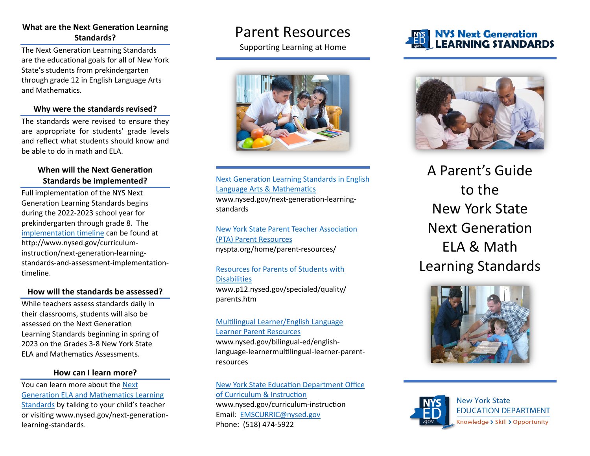### **What are the Next Generation Learning Standards?**

The Next Generation Learning Standards are the educational goals for all of New York State's students from prekindergarten through grade 12 in English Language Arts and Mathematics.

### **Why were the standards revised?**

The standards were revised to ensure they are appropriate for students' grade levels and reflect what students should know and be able to do in math and ELA.

### **When will the Next Generation Standards be implemented?**

Full implementation of the NYS Next Generation Learning Standards begins during the 2022-2023 school year for prekindergarten through grade 8. The [implementation timeline](http://www.nysed.gov/curriculum-instruction/next-generation-learning-standards-and-assessment-implementation-timeline) can be found at http://www.nysed.gov/curriculuminstruction/next-generation-learningstandards-and-assessment-implementationtimeline.

### **How will the standards be assessed?**

While teachers assess standards daily in their classrooms, students will also be assessed on the Next Generation Learning Standards beginning in spring of 2023 on the Grades 3-8 New York State ELA and Mathematics Assessments.

### **How can I learn more?**

You can learn more about the [Next](http://www.nysed.gov/next-generation-learning-standards)  [Generation ELA and Mathematics Learning](http://www.nysed.gov/next-generation-learning-standards)  [Standards](http://www.nysed.gov/next-generation-learning-standards) by talking to your child's teacher or visiting www.nysed.gov/next-generationlearning-standards.

## Parent Resources

Supporting Learning at Home



[Next Generation Learning Standards](http://www.nysed.gov/next-generation-learning-standards) in English [Language Arts &](http://www.nysed.gov/next-generation-learning-standards) Mathematics www.nysed.gov/next-generation-learningstandards

[New York State Parent Teacher Association](https://nyspta.org/home/parent-resources/) (PTA) [Parent Resources](https://nyspta.org/home/parent-resources/) nyspta.org/home/parent-resources/

### Resources for Parents [of Students with](http://www.p12.nysed.gov/specialed/quality/parents.htm) **[Disabilities](http://www.p12.nysed.gov/specialed/quality/parents.htm)**

www.p12.nysed.gov/specialed/quality/ parents.htm

#### Multilingual [Learner/English Language](http://www.nysed.gov/bilingual-ed/english-language-learnermultilingual-learner-parent-resources) [Learner Parent Resources](http://www.nysed.gov/bilingual-ed/english-language-learnermultilingual-learner-parent-resources)

www.nysed.gov/bilingual-ed/englishlanguage-learnermultilingual-learner-parentresources

N[ew York State Education Dep](http://www.nysed.gov/curriculum-instruction/)artment Office [of Curriculum & Instruction](http://www.nysed.gov/curriculum-instruction/) www.nysed.gov/curriculum-instruction Email: [EMSCURRIC@nysed.gov](mailto:EMSCURRIC@nysed.gov) Phone: (518) 474-5922

### **NYS Next Generation LEARNING STANDARDS**



A Parent's Guide to the New York State Next Generation ELA & Math Learning Standards